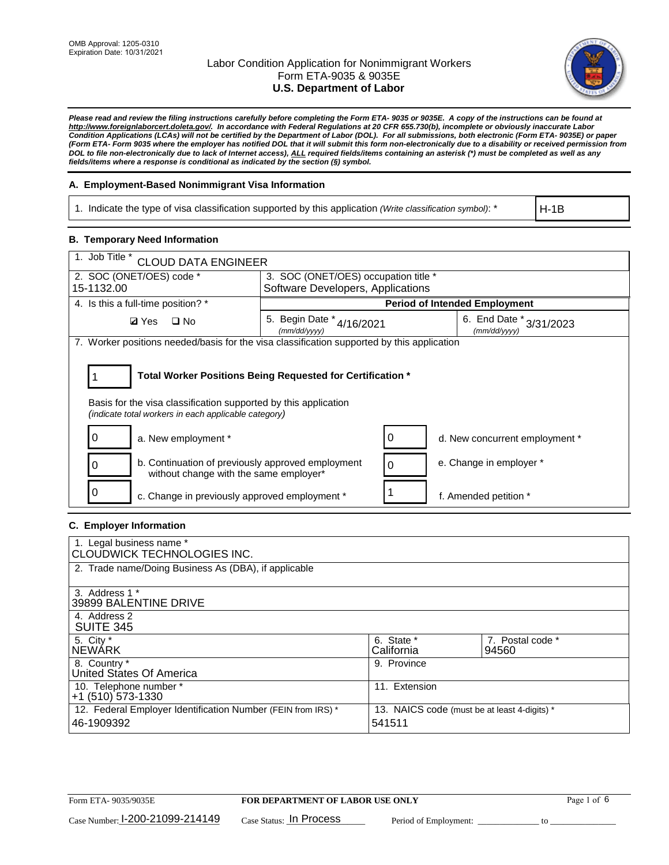

*Please read and review the filing instructions carefully before completing the Form ETA- 9035 or 9035E. A copy of the instructions can be found at [http://www.foreignlaborcert.doleta.gov/.](http://www.foreignlaborcert.doleta.gov/) In accordance with Federal Regulations at 20 CFR 655.730(b), incomplete or obviously inaccurate Labor Condition Applications (LCAs) will not be certified by the Department of Labor (DOL). For all submissions, both electronic (Form ETA- 9035E) or paper (Form ETA- Form 9035 where the employer has notified DOL that it will submit this form non-electronically due to a disability or received permission from DOL to file non-electronically due to lack of Internet access), ALL required fields/items containing an asterisk (\*) must be completed as well as any fields/items where a response is conditional as indicated by the section (§) symbol.* 

### **A. Employment-Based Nonimmigrant Visa Information**

1. Indicate the type of visa classification supported by this application *(Write classification symbol)*: \*

H-1B

### **B. Temporary Need Information**

| 1. Job Title *<br><b>CLOUD DATA ENGINEER</b>                                                                                                                                          |                                           |   |                                         |  |  |  |
|---------------------------------------------------------------------------------------------------------------------------------------------------------------------------------------|-------------------------------------------|---|-----------------------------------------|--|--|--|
| 2. SOC (ONET/OES) code *<br>3. SOC (ONET/OES) occupation title *                                                                                                                      |                                           |   |                                         |  |  |  |
| 15-1132.00                                                                                                                                                                            | Software Developers, Applications         |   |                                         |  |  |  |
| 4. Is this a full-time position? *                                                                                                                                                    |                                           |   | <b>Period of Intended Employment</b>    |  |  |  |
| <b>Ø</b> Yes<br>$\square$ No                                                                                                                                                          | 5. Begin Date * 4/16/2021<br>(mm/dd/yyyy) |   | 6. End Date * 3/31/2023<br>(mm/dd/yyyy) |  |  |  |
| 7. Worker positions needed/basis for the visa classification supported by this application                                                                                            |                                           |   |                                         |  |  |  |
| Total Worker Positions Being Requested for Certification *<br>Basis for the visa classification supported by this application<br>(indicate total workers in each applicable category) |                                           |   |                                         |  |  |  |
| a. New employment *                                                                                                                                                                   |                                           | 0 | d. New concurrent employment *          |  |  |  |
| b. Continuation of previously approved employment<br>without change with the same employer*                                                                                           |                                           | 0 | e. Change in employer *                 |  |  |  |
| c. Change in previously approved employment *                                                                                                                                         |                                           |   | f. Amended petition *                   |  |  |  |

### **C. Employer Information**

| 1. Legal business name *                                     |                                              |                  |
|--------------------------------------------------------------|----------------------------------------------|------------------|
| CLOUDWICK TECHNOLOGIES INC.                                  |                                              |                  |
| 2. Trade name/Doing Business As (DBA), if applicable         |                                              |                  |
|                                                              |                                              |                  |
| 3. Address 1 *                                               |                                              |                  |
| 39899 BALENTINE DRIVE                                        |                                              |                  |
| 4. Address 2                                                 |                                              |                  |
| <b>SUITE 345</b>                                             |                                              |                  |
| 5. City *                                                    | 6. State *                                   | 7. Postal code * |
| <b>NEWARK</b>                                                | California                                   | 94560            |
| 8. Country *                                                 | 9. Province                                  |                  |
| United States Of America                                     |                                              |                  |
| 10. Telephone number *                                       | 11. Extension                                |                  |
| $+1$ (510) 573-1330                                          |                                              |                  |
| 12. Federal Employer Identification Number (FEIN from IRS) * | 13. NAICS code (must be at least 4-digits) * |                  |
| 46-1909392                                                   | 541511                                       |                  |
|                                                              |                                              |                  |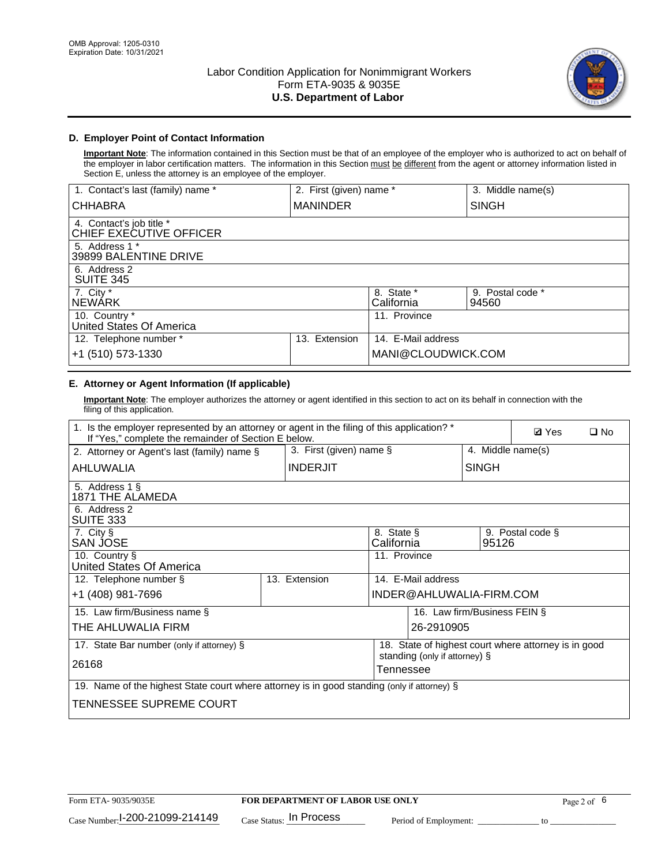

## **D. Employer Point of Contact Information**

**Important Note**: The information contained in this Section must be that of an employee of the employer who is authorized to act on behalf of the employer in labor certification matters. The information in this Section must be different from the agent or attorney information listed in Section E, unless the attorney is an employee of the employer.

| 1. Contact's last (family) name *                   | 2. First (given) name * |                          | 3. Middle name(s)         |
|-----------------------------------------------------|-------------------------|--------------------------|---------------------------|
| <b>CHHABRA</b>                                      | <b>MANINDER</b>         |                          | <b>SINGH</b>              |
| 4. Contact's job title *<br>CHIEF EXECUTIVE OFFICER |                         |                          |                           |
| 5. Address 1 *<br>39899 BALENTINE DRIVE             |                         |                          |                           |
| 6. Address 2<br><b>SUITE 345</b>                    |                         |                          |                           |
| 7. City *<br><b>NEWÁRK</b>                          |                         | 8. State *<br>California | 9. Postal code *<br>94560 |
| 10. Country *<br>United States Of America           |                         | 11. Province             |                           |
| 12. Telephone number *                              | Extension<br>13.        | 14. E-Mail address       |                           |
| +1 (510) 573-1330                                   |                         | MANI@CLOUDWICK.COM       |                           |

# **E. Attorney or Agent Information (If applicable)**

**Important Note**: The employer authorizes the attorney or agent identified in this section to act on its behalf in connection with the filing of this application.

| 1. Is the employer represented by an attorney or agent in the filing of this application? *<br>If "Yes," complete the remainder of Section E below. |  |                            |                          |                               | <b>Ø</b> Yes<br>$\square$ No |                                                      |  |
|-----------------------------------------------------------------------------------------------------------------------------------------------------|--|----------------------------|--------------------------|-------------------------------|------------------------------|------------------------------------------------------|--|
| 2. Attorney or Agent's last (family) name §                                                                                                         |  | 3. First (given) name $\S$ |                          |                               | 4. Middle name(s)            |                                                      |  |
| AHLUWALIA                                                                                                                                           |  | <b>INDERJIT</b>            |                          |                               | <b>SINGH</b>                 |                                                      |  |
| 5. Address 1 §<br>1871 THE ALAMEDA                                                                                                                  |  |                            |                          |                               |                              |                                                      |  |
| 6. Address 2<br>SUITE 333                                                                                                                           |  |                            |                          |                               |                              |                                                      |  |
| 7. City §<br>SAN JOSE                                                                                                                               |  |                            | 8. State §<br>California |                               | 95126                        | 9. Postal code §                                     |  |
| 10. Country §<br>United States Of America                                                                                                           |  |                            | 11. Province             |                               |                              |                                                      |  |
| 12. Telephone number §                                                                                                                              |  | 13. Extension              |                          | 14. E-Mail address            |                              |                                                      |  |
| +1 (408) 981-7696                                                                                                                                   |  |                            |                          | INDER@AHLUWALIA-FIRM.COM      |                              |                                                      |  |
| 15. Law firm/Business name §                                                                                                                        |  |                            |                          |                               | 16. Law firm/Business FEIN § |                                                      |  |
| THE AHLUWALIA FIRM                                                                                                                                  |  |                            |                          | 26-2910905                    |                              |                                                      |  |
| 17. State Bar number (only if attorney) §                                                                                                           |  |                            |                          | standing (only if attorney) § |                              | 18. State of highest court where attorney is in good |  |
| 26168                                                                                                                                               |  |                            | Tennessee                |                               |                              |                                                      |  |
| 19. Name of the highest State court where attorney is in good standing (only if attorney) §                                                         |  |                            |                          |                               |                              |                                                      |  |
| TENNESSEE SUPREME COURT                                                                                                                             |  |                            |                          |                               |                              |                                                      |  |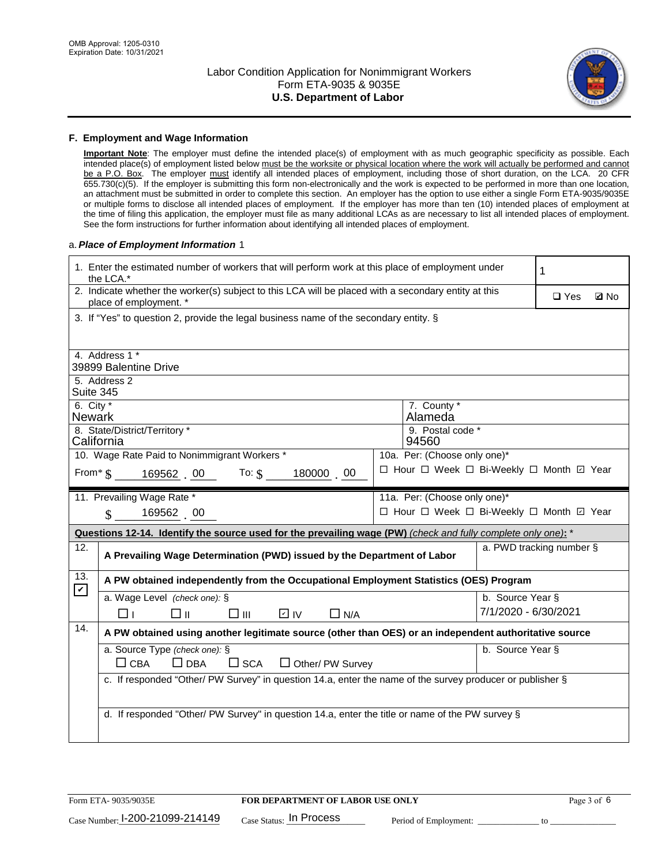

#### **F. Employment and Wage Information**

**Important Note**: The employer must define the intended place(s) of employment with as much geographic specificity as possible. Each intended place(s) of employment listed below must be the worksite or physical location where the work will actually be performed and cannot be a P.O. Box. The employer must identify all intended places of employment, including those of short duration, on the LCA. 20 CFR 655.730(c)(5). If the employer is submitting this form non-electronically and the work is expected to be performed in more than one location, an attachment must be submitted in order to complete this section. An employer has the option to use either a single Form ETA-9035/9035E or multiple forms to disclose all intended places of employment. If the employer has more than ten (10) intended places of employment at the time of filing this application, the employer must file as many additional LCAs as are necessary to list all intended places of employment. See the form instructions for further information about identifying all intended places of employment.

#### a.*Place of Employment Information* 1

|                    | 1. Enter the estimated number of workers that will perform work at this place of employment under<br>the LCA.*                 |  | 1                                        |                  |                          |             |  |  |
|--------------------|--------------------------------------------------------------------------------------------------------------------------------|--|------------------------------------------|------------------|--------------------------|-------------|--|--|
|                    | 2. Indicate whether the worker(s) subject to this LCA will be placed with a secondary entity at this<br>place of employment. * |  |                                          |                  | $\Box$ Yes               | <b>Z</b> No |  |  |
|                    | 3. If "Yes" to question 2, provide the legal business name of the secondary entity. §                                          |  |                                          |                  |                          |             |  |  |
|                    | 4. Address 1 *                                                                                                                 |  |                                          |                  |                          |             |  |  |
|                    | 39899 Balentine Drive                                                                                                          |  |                                          |                  |                          |             |  |  |
|                    | 5. Address 2<br>Suite 345                                                                                                      |  |                                          |                  |                          |             |  |  |
|                    | 6. City $*$<br>7. County *<br>Alameda<br><b>Newark</b>                                                                         |  |                                          |                  |                          |             |  |  |
|                    | 8. State/District/Territory *<br>9. Postal code *                                                                              |  |                                          |                  |                          |             |  |  |
|                    | California<br>94560                                                                                                            |  |                                          |                  |                          |             |  |  |
|                    | 10. Wage Rate Paid to Nonimmigrant Workers *                                                                                   |  | 10a. Per: (Choose only one)*             |                  |                          |             |  |  |
|                    | From $\frac{1}{5}$ 169562 00 To: $\frac{1}{5}$<br>180000 00                                                                    |  | □ Hour □ Week □ Bi-Weekly □ Month ☑ Year |                  |                          |             |  |  |
|                    | 11. Prevailing Wage Rate *<br>11a. Per: (Choose only one)*                                                                     |  |                                          |                  |                          |             |  |  |
|                    | 169562 00<br>$\mathbb{S}$                                                                                                      |  | □ Hour □ Week □ Bi-Weekly □ Month 回 Year |                  |                          |             |  |  |
|                    | Questions 12-14. Identify the source used for the prevailing wage (PW) (check and fully complete only one): *                  |  |                                          |                  |                          |             |  |  |
| 12.                | A Prevailing Wage Determination (PWD) issued by the Department of Labor                                                        |  |                                          |                  | a. PWD tracking number § |             |  |  |
| 13.<br>$\mathbf v$ | A PW obtained independently from the Occupational Employment Statistics (OES) Program                                          |  |                                          |                  |                          |             |  |  |
|                    | a. Wage Level (check one): §                                                                                                   |  |                                          | b. Source Year § |                          |             |  |  |
|                    | D IV<br>□⊪<br>□⊪<br>$\Box$ N/A<br>⊓⊥                                                                                           |  |                                          |                  | 7/1/2020 - 6/30/2021     |             |  |  |
| 14.                | A PW obtained using another legitimate source (other than OES) or an independent authoritative source                          |  |                                          |                  |                          |             |  |  |
|                    | a. Source Type (check one): §                                                                                                  |  |                                          | b. Source Year § |                          |             |  |  |
|                    | $\Box$ CBA<br>$\Box$ DBA<br>$\square$ SCA<br>$\Box$ Other/ PW Survey                                                           |  |                                          |                  |                          |             |  |  |
|                    | c. If responded "Other/ PW Survey" in question 14.a, enter the name of the survey producer or publisher §                      |  |                                          |                  |                          |             |  |  |
|                    |                                                                                                                                |  |                                          |                  |                          |             |  |  |
|                    | d. If responded "Other/ PW Survey" in question 14.a, enter the title or name of the PW survey §                                |  |                                          |                  |                          |             |  |  |
|                    |                                                                                                                                |  |                                          |                  |                          |             |  |  |
|                    |                                                                                                                                |  |                                          |                  |                          |             |  |  |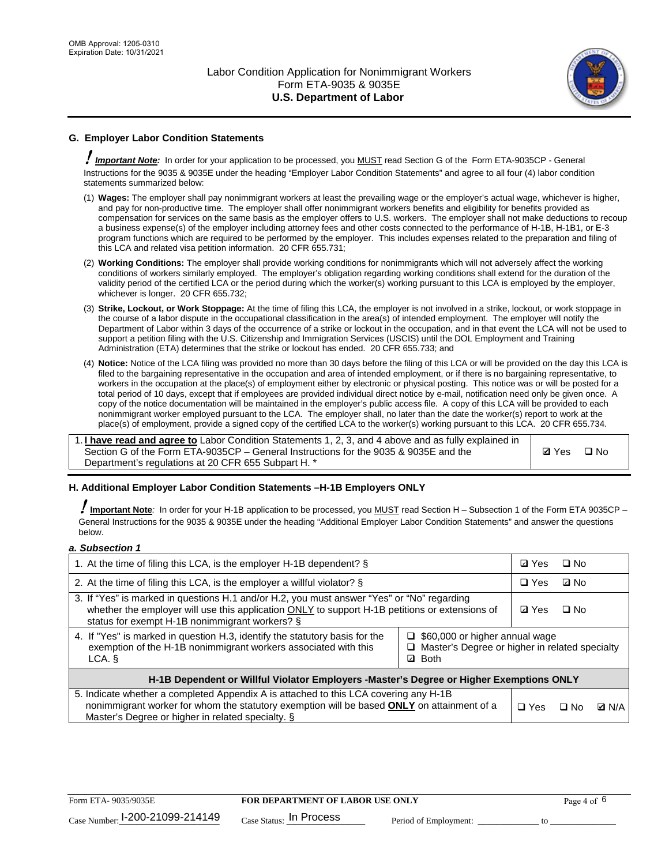

## **G. Employer Labor Condition Statements**

! *Important Note:* In order for your application to be processed, you MUST read Section G of the Form ETA-9035CP - General Instructions for the 9035 & 9035E under the heading "Employer Labor Condition Statements" and agree to all four (4) labor condition statements summarized below:

- (1) **Wages:** The employer shall pay nonimmigrant workers at least the prevailing wage or the employer's actual wage, whichever is higher, and pay for non-productive time. The employer shall offer nonimmigrant workers benefits and eligibility for benefits provided as compensation for services on the same basis as the employer offers to U.S. workers. The employer shall not make deductions to recoup a business expense(s) of the employer including attorney fees and other costs connected to the performance of H-1B, H-1B1, or E-3 program functions which are required to be performed by the employer. This includes expenses related to the preparation and filing of this LCA and related visa petition information. 20 CFR 655.731;
- (2) **Working Conditions:** The employer shall provide working conditions for nonimmigrants which will not adversely affect the working conditions of workers similarly employed. The employer's obligation regarding working conditions shall extend for the duration of the validity period of the certified LCA or the period during which the worker(s) working pursuant to this LCA is employed by the employer, whichever is longer. 20 CFR 655.732;
- (3) **Strike, Lockout, or Work Stoppage:** At the time of filing this LCA, the employer is not involved in a strike, lockout, or work stoppage in the course of a labor dispute in the occupational classification in the area(s) of intended employment. The employer will notify the Department of Labor within 3 days of the occurrence of a strike or lockout in the occupation, and in that event the LCA will not be used to support a petition filing with the U.S. Citizenship and Immigration Services (USCIS) until the DOL Employment and Training Administration (ETA) determines that the strike or lockout has ended. 20 CFR 655.733; and
- (4) **Notice:** Notice of the LCA filing was provided no more than 30 days before the filing of this LCA or will be provided on the day this LCA is filed to the bargaining representative in the occupation and area of intended employment, or if there is no bargaining representative, to workers in the occupation at the place(s) of employment either by electronic or physical posting. This notice was or will be posted for a total period of 10 days, except that if employees are provided individual direct notice by e-mail, notification need only be given once. A copy of the notice documentation will be maintained in the employer's public access file. A copy of this LCA will be provided to each nonimmigrant worker employed pursuant to the LCA. The employer shall, no later than the date the worker(s) report to work at the place(s) of employment, provide a signed copy of the certified LCA to the worker(s) working pursuant to this LCA. 20 CFR 655.734.

1. **I have read and agree to** Labor Condition Statements 1, 2, 3, and 4 above and as fully explained in Section G of the Form ETA-9035CP – General Instructions for the 9035 & 9035E and the Department's regulations at 20 CFR 655 Subpart H. \*

**Ø**Yes ロNo

### **H. Additional Employer Labor Condition Statements –H-1B Employers ONLY**

!**Important Note***:* In order for your H-1B application to be processed, you MUST read Section H – Subsection 1 of the Form ETA 9035CP – General Instructions for the 9035 & 9035E under the heading "Additional Employer Labor Condition Statements" and answer the questions below.

#### *a. Subsection 1*

| 1. At the time of filing this LCA, is the employer H-1B dependent? §                                                                                                                                                                                                      | ⊡ Yes        | $\square$ No |              |  |
|---------------------------------------------------------------------------------------------------------------------------------------------------------------------------------------------------------------------------------------------------------------------------|--------------|--------------|--------------|--|
| 2. At the time of filing this LCA, is the employer a willful violator? $\S$                                                                                                                                                                                               | $\Box$ Yes   | ⊡ No         |              |  |
| 3. If "Yes" is marked in questions H.1 and/or H.2, you must answer "Yes" or "No" regarding<br>whether the employer will use this application ONLY to support H-1B petitions or extensions of<br>status for exempt H-1B nonimmigrant workers? §                            | <b>☑</b> Yes | $\Box$ No    |              |  |
| 4. If "Yes" is marked in question H.3, identify the statutory basis for the<br>$\Box$ \$60,000 or higher annual wage<br>exemption of the H-1B nonimmigrant workers associated with this<br>□ Master's Degree or higher in related specialty<br><b>Both</b><br>LCA. §<br>☑ |              |              |              |  |
| H-1B Dependent or Willful Violator Employers -Master's Degree or Higher Exemptions ONLY                                                                                                                                                                                   |              |              |              |  |
| 5. Indicate whether a completed Appendix A is attached to this LCA covering any H-1B<br>nonimmigrant worker for whom the statutory exemption will be based <b>ONLY</b> on attainment of a<br>Master's Degree or higher in related specialty. §                            | $\Box$ Yes   | ⊟ No         | <b>Q</b> N/A |  |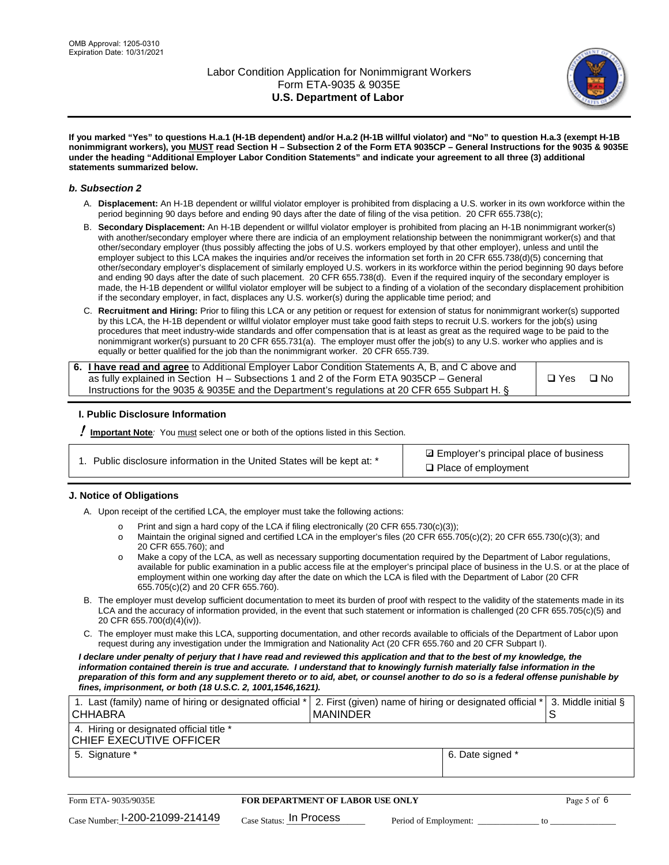

**If you marked "Yes" to questions H.a.1 (H-1B dependent) and/or H.a.2 (H-1B willful violator) and "No" to question H.a.3 (exempt H-1B nonimmigrant workers), you MUST read Section H – Subsection 2 of the Form ETA 9035CP – General Instructions for the 9035 & 9035E under the heading "Additional Employer Labor Condition Statements" and indicate your agreement to all three (3) additional statements summarized below.**

#### *b. Subsection 2*

- A. **Displacement:** An H-1B dependent or willful violator employer is prohibited from displacing a U.S. worker in its own workforce within the period beginning 90 days before and ending 90 days after the date of filing of the visa petition. 20 CFR 655.738(c);
- B. **Secondary Displacement:** An H-1B dependent or willful violator employer is prohibited from placing an H-1B nonimmigrant worker(s) with another/secondary employer where there are indicia of an employment relationship between the nonimmigrant worker(s) and that other/secondary employer (thus possibly affecting the jobs of U.S. workers employed by that other employer), unless and until the employer subject to this LCA makes the inquiries and/or receives the information set forth in 20 CFR 655.738(d)(5) concerning that other/secondary employer's displacement of similarly employed U.S. workers in its workforce within the period beginning 90 days before and ending 90 days after the date of such placement. 20 CFR 655.738(d). Even if the required inquiry of the secondary employer is made, the H-1B dependent or willful violator employer will be subject to a finding of a violation of the secondary displacement prohibition if the secondary employer, in fact, displaces any U.S. worker(s) during the applicable time period; and
- C. **Recruitment and Hiring:** Prior to filing this LCA or any petition or request for extension of status for nonimmigrant worker(s) supported by this LCA, the H-1B dependent or willful violator employer must take good faith steps to recruit U.S. workers for the job(s) using procedures that meet industry-wide standards and offer compensation that is at least as great as the required wage to be paid to the nonimmigrant worker(s) pursuant to 20 CFR 655.731(a). The employer must offer the job(s) to any U.S. worker who applies and is equally or better qualified for the job than the nonimmigrant worker. 20 CFR 655.739.

| 6. I have read and agree to Additional Employer Labor Condition Statements A, B, and C above and |       |           |
|--------------------------------------------------------------------------------------------------|-------|-----------|
| as fully explained in Section H – Subsections 1 and 2 of the Form ETA 9035CP – General           | □ Yes | $\Box$ No |
| Instructions for the 9035 & 9035E and the Department's regulations at 20 CFR 655 Subpart H. §    |       |           |

### **I. Public Disclosure Information**

! **Important Note***:* You must select one or both of the options listed in this Section.

| 1. Public disclosure information in the United States will be kept at: * |  |  |  |  |  |  |
|--------------------------------------------------------------------------|--|--|--|--|--|--|
|--------------------------------------------------------------------------|--|--|--|--|--|--|

**sqrt** Employer's principal place of business □ Place of employment

### **J. Notice of Obligations**

A. Upon receipt of the certified LCA, the employer must take the following actions:

- o Print and sign a hard copy of the LCA if filing electronically (20 CFR 655.730(c)(3));<br>
Maintain the original signed and certified LCA in the employer's files (20 CFR 655.7
- Maintain the original signed and certified LCA in the employer's files (20 CFR 655.705(c)(2); 20 CFR 655.730(c)(3); and 20 CFR 655.760); and
- o Make a copy of the LCA, as well as necessary supporting documentation required by the Department of Labor regulations, available for public examination in a public access file at the employer's principal place of business in the U.S. or at the place of employment within one working day after the date on which the LCA is filed with the Department of Labor (20 CFR 655.705(c)(2) and 20 CFR 655.760).
- B. The employer must develop sufficient documentation to meet its burden of proof with respect to the validity of the statements made in its LCA and the accuracy of information provided, in the event that such statement or information is challenged (20 CFR 655.705(c)(5) and 20 CFR 655.700(d)(4)(iv)).
- C. The employer must make this LCA, supporting documentation, and other records available to officials of the Department of Labor upon request during any investigation under the Immigration and Nationality Act (20 CFR 655.760 and 20 CFR Subpart I).

*I declare under penalty of perjury that I have read and reviewed this application and that to the best of my knowledge, the*  information contained therein is true and accurate. I understand that to knowingly furnish materially false information in the *preparation of this form and any supplement thereto or to aid, abet, or counsel another to do so is a federal offense punishable by fines, imprisonment, or both (18 U.S.C. 2, 1001,1546,1621).*

| 1. Last (family) name of hiring or designated official *<br><b>CHHABRA</b> |                         | <b>MANINDER</b>                         | 2. First (given) name of hiring or designated official * |                  | 3. Middle initial §<br>S |  |
|----------------------------------------------------------------------------|-------------------------|-----------------------------------------|----------------------------------------------------------|------------------|--------------------------|--|
| 4. Hiring or designated official title *<br>CHIEF EXECUTIVE OFFICER        |                         |                                         |                                                          |                  |                          |  |
| 5. Signature *                                                             |                         |                                         |                                                          | 6. Date signed * |                          |  |
|                                                                            |                         |                                         |                                                          |                  |                          |  |
| Form ETA-9035/9035E                                                        |                         | <b>FOR DEPARTMENT OF LABOR USE ONLY</b> |                                                          |                  | Page 5 of 6              |  |
| $_{\text{Case Number:}}$ 1-200-21099-214149                                | Case Status: In Process |                                         | Period of Employment:                                    |                  | tΩ                       |  |